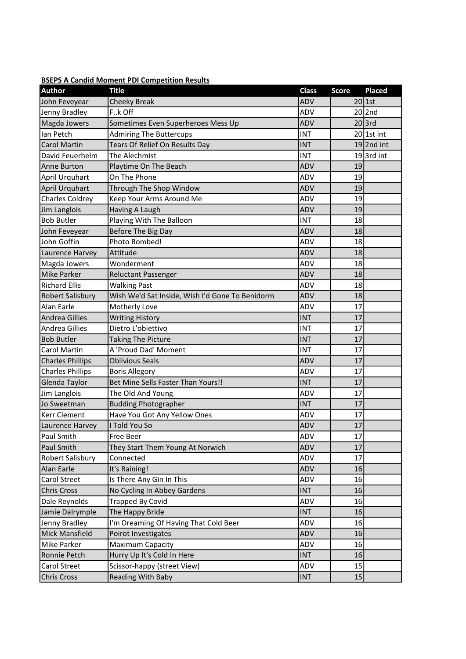| <b>BSEPS A Candid Moment PDI Competition Results</b> |
|------------------------------------------------------|
|------------------------------------------------------|

| <b>Author</b>           | <b>Title</b>                                    | <b>Class</b> | <b>Score</b> | <b>Placed</b> |
|-------------------------|-------------------------------------------------|--------------|--------------|---------------|
| John Feveyear           | <b>Cheeky Break</b>                             | <b>ADV</b>   |              | $20$ 1st      |
| Jenny Bradley           | Fk Off                                          | ADV          |              | $20$  2nd     |
| Magda Jowers            | Sometimes Even Superheroes Mess Up              | <b>ADV</b>   |              | $20$ 3rd      |
| Ian Petch               | <b>Admiring The Buttercups</b>                  | <b>INT</b>   |              | $20$ 1st int  |
| <b>Carol Martin</b>     | Tears Of Relief On Results Day                  | <b>INT</b>   |              | $19$  2nd int |
| David Feuerhelm         | The Alechmist                                   | INT          |              | $19$ 3rd int  |
| <b>Anne Burton</b>      | Playtime On The Beach                           | ADV          | 19           |               |
| April Urquhart          | On The Phone                                    | ADV          | 19           |               |
| April Urquhart          | Through The Shop Window                         | ADV          | 19           |               |
| <b>Charles Coldrey</b>  | Keep Your Arms Around Me                        | ADV          | 19           |               |
| Jim Langlois            | Having A Laugh                                  | <b>ADV</b>   | 19           |               |
| <b>Bob Butler</b>       | Playing With The Balloon                        | <b>INT</b>   | 18           |               |
| John Feveyear           | Before The Big Day                              | ADV          | 18           |               |
| John Goffin             | Photo Bombed!                                   | ADV          | 18           |               |
| Laurence Harvey         | Attitude                                        | ADV          | 18           |               |
| Magda Jowers            | Wonderment                                      | ADV          | 18           |               |
| <b>Mike Parker</b>      | <b>Reluctant Passenger</b>                      | ADV          | 18           |               |
| <b>Richard Ellis</b>    | <b>Walking Past</b>                             | ADV          | 18           |               |
| Robert Salisbury        | Wish We'd Sat Inside, Wish I'd Gone To Benidorm | ADV          | 18           |               |
| Alan Earle              | Motherly Love                                   | ADV          | 17           |               |
| <b>Andrea Gillies</b>   | <b>Writing History</b>                          | <b>INT</b>   | 17           |               |
| <b>Andrea Gillies</b>   | Dietro L'obiettivo                              | <b>INT</b>   | 17           |               |
| <b>Bob Butler</b>       | <b>Taking The Picture</b>                       | <b>INT</b>   | 17           |               |
| Carol Martin            | A 'Proud Dad' Moment                            | <b>INT</b>   | 17           |               |
| <b>Charles Phillips</b> | <b>Oblivious Seals</b>                          | <b>ADV</b>   | 17           |               |
| <b>Charles Phillips</b> | <b>Boris Allegory</b>                           | ADV          | 17           |               |
| Glenda Taylor           | Bet Mine Sells Faster Than Yours!!              | <b>INT</b>   | 17           |               |
| Jim Langlois            | The Old And Young                               | ADV          | 17           |               |
| Jo Sweetman             | <b>Budding Photographer</b>                     | <b>INT</b>   | 17           |               |
| <b>Kerr Clement</b>     | Have You Got Any Yellow Ones                    | ADV          | 17           |               |
| Laurence Harvey         | I Told You So                                   | ADV          | 17           |               |
| Paul Smith              | Free Beer                                       | ADV          | 17           |               |
| Paul Smith              | They Start Them Young At Norwich                | ADV          | 17           |               |
| Robert Salisbury        | Connected                                       | ADV          | 17           |               |
| Alan Earle              | It's Raining!                                   | ADV          | 16           |               |
| Carol Street            | Is There Any Gin In This                        | ADV          | 16           |               |
| <b>Chris Cross</b>      | No Cycling In Abbey Gardens                     | <b>INT</b>   | 16           |               |
| Dale Reynolds           | <b>Trapped By Covid</b>                         | ADV          | 16           |               |
| Jamie Dalrymple         | The Happy Bride                                 | <b>INT</b>   | 16           |               |
| Jenny Bradley           | I'm Dreaming Of Having That Cold Beer           | ADV          | 16           |               |
| Mick Mansfield          | Poirot Investigates                             | ADV          | 16           |               |
| Mike Parker             | Maximum Capacity                                | ADV          | 16           |               |
| Ronnie Petch            | Hurry Up It's Cold In Here                      | <b>INT</b>   | 16           |               |
| Carol Street            | Scissor-happy (street View)                     | ADV          | 15           |               |
| <b>Chris Cross</b>      | Reading With Baby                               | INT          | 15           |               |